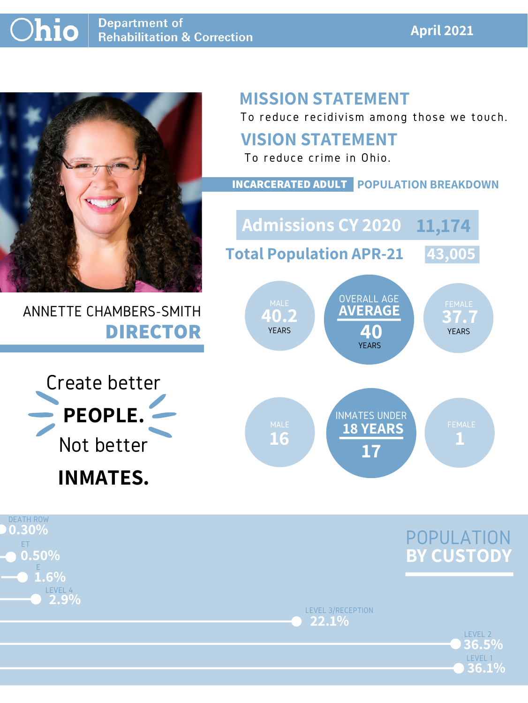#### **April 2021**



# ANNETTE CHAMBERS-SMITH **DIRECTOR**

# **MISSION STATEMENT**

To reduce recidivism among those we touch.



LEVEL 3/RECEPTION **22.1%**

> LEVEL 2 LEVEL 1 **36.1% 36.5%**

#### **VISION STATEMENT**





To reduce crime in Ohio.

**40.2 37.7 AVERAGE 40** OVERALL AGE YEARS YEARS YEARS YEARS MALE WAS UVERALL AUL WALE FEMALE **Admissions CY 2020 11,174 Total Population APR-21 43,005**

#### **INCARCERATED ADULT POPULATION BREAKDOWN**

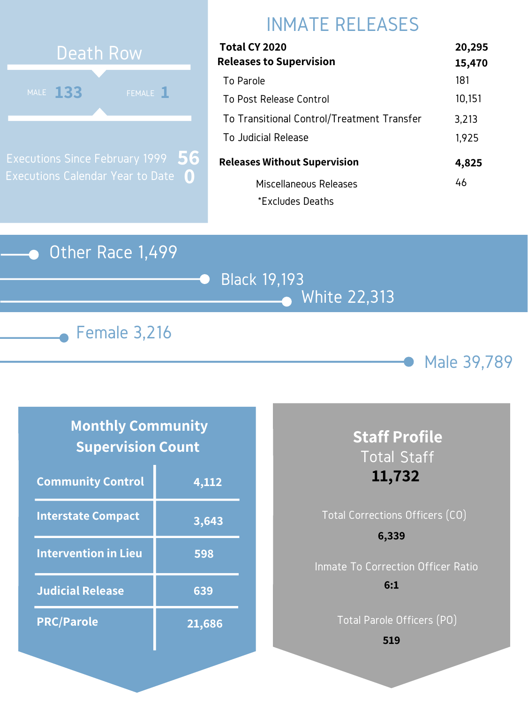

# Black 19,193 White 22,313





# INMATE RELEASES



Executions Since February 1999 Executions Calendar Year to Date **0 56**

#### **Monthly Community Supervision Count**

| Total CY 2020                              | 20,295 |
|--------------------------------------------|--------|
| <b>Releases to Supervision</b>             | 15,470 |
| To Parole                                  | 181    |
| To Post Release Control                    | 10,151 |
| To Transitional Control/Treatment Transfer | 3,213  |
| To Judicial Release                        | 1,925  |
| <b>Releases Without Supervision</b>        | 4,825  |
| Miscellaneous Releases                     | 46     |
| *Excludes Deaths                           |        |

| <b>Community Control</b>    | 4,112  |
|-----------------------------|--------|
| <b>Interstate Compact</b>   | 3,643  |
| <b>Intervention in Lieu</b> | 598    |
| <b>Judicial Release</b>     | 639    |
| <b>PRC/Parole</b>           | 21,686 |

# Total Corrections Officers (CO) **6,339**

### **Staff Profile** Total Staff **11,732**

Inmate To Correction Officer Ratio **6:1**

Total Parole Officers (PO)

**519**